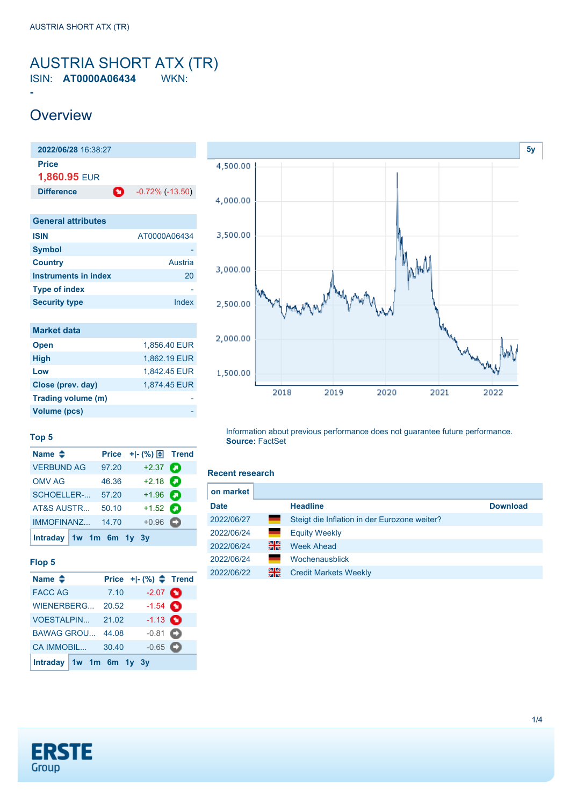### <span id="page-0-0"></span>AUSTRIA SHORT ATX (TR) ISIN: **AT0000A06434** WKN:

## **Overview**

**-**



| <b>Symbol</b>        |         |
|----------------------|---------|
| <b>Country</b>       | Austria |
| Instruments in index | 20      |
| <b>Type of index</b> |         |
| <b>Security type</b> | Index   |

| <b>Market data</b> |              |
|--------------------|--------------|
| <b>Open</b>        | 1.856.40 EUR |
| <b>High</b>        | 1,862.19 EUR |
| Low                | 1,842.45 EUR |
| Close (prev. day)  | 1,874.45 EUR |
| Trading volume (m) |              |
| Volume (pcs)       |              |



### **Top 5**

| Name $\triangleq$         |       | Price $+$ $\mid$ - $\left(\frac{9}{6}\right)$ $\right$ Trend |  |
|---------------------------|-------|--------------------------------------------------------------|--|
| <b>VERBUND AG</b>         | 97.20 | $+2.37$ $\bullet$                                            |  |
| <b>OMV AG</b>             | 46.36 | $+2.18$ $\bullet$                                            |  |
| <b>SCHOELLER-</b>         | 57.20 | $+1.96$ $\bullet$                                            |  |
| AT&S AUSTR                | 50.10 | $+1.52$ $\bullet$                                            |  |
| <b>IMMOFINANZ</b>         | 14.70 | $+0.96$ $\bullet$                                            |  |
| Intraday $1w$ 1m 6m 1y 3y |       |                                                              |  |

#### **Flop 5**

| Name $\triangleq$         |       | Price $+[-(%) \triangleq$ Trend |  |
|---------------------------|-------|---------------------------------|--|
| <b>FACC AG</b>            | 7.10  | $-2.07$ $\bullet$               |  |
| WIENERBERG                | 20.52 | $-1.54$ $\bullet$               |  |
| <b>VOESTALPIN</b>         | 21.02 | $-1.13$ $\bullet$               |  |
| <b>BAWAG GROU</b>         | 44.08 | $-0.81$ $\bullet$               |  |
| CA IMMOBIL                | 30.40 | $-0.65$ $\Box$                  |  |
| Intraday $1w$ 1m 6m 1y 3y |       |                                 |  |

Information about previous performance does not guarantee future performance. **Source:** FactSet

#### **Recent research**

| on market   |     |                                              |                 |
|-------------|-----|----------------------------------------------|-----------------|
| <b>Date</b> |     | <b>Headline</b>                              | <b>Download</b> |
| 2022/06/27  |     | Steigt die Inflation in der Eurozone weiter? |                 |
| 2022/06/24  |     | <b>Equity Weekly</b>                         |                 |
| 2022/06/24  | 꾉   | <b>Week Ahead</b>                            |                 |
| 2022/06/24  | a a | <b>Wochenausblick</b>                        |                 |
| 2022/06/22  | 꾉   | <b>Credit Markets Weekly</b>                 |                 |

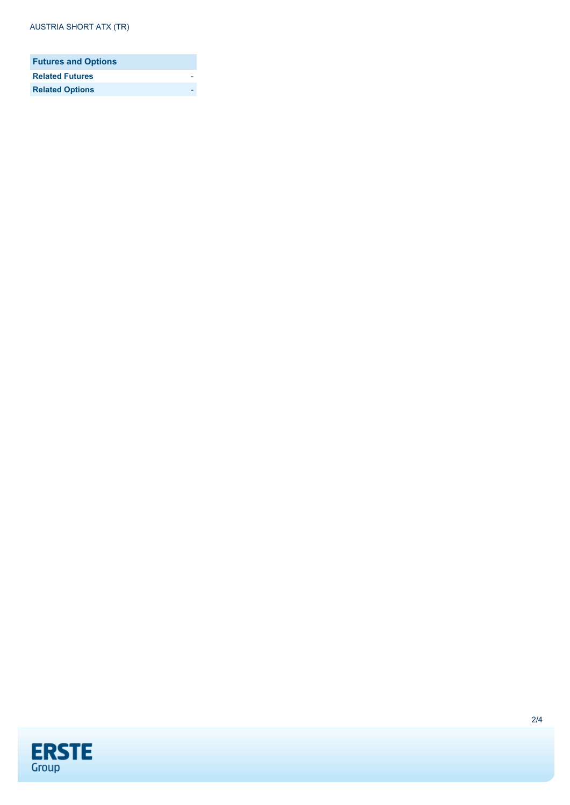| <b>Futures and Options</b> |  |
|----------------------------|--|
| <b>Related Futures</b>     |  |
| <b>Related Options</b>     |  |

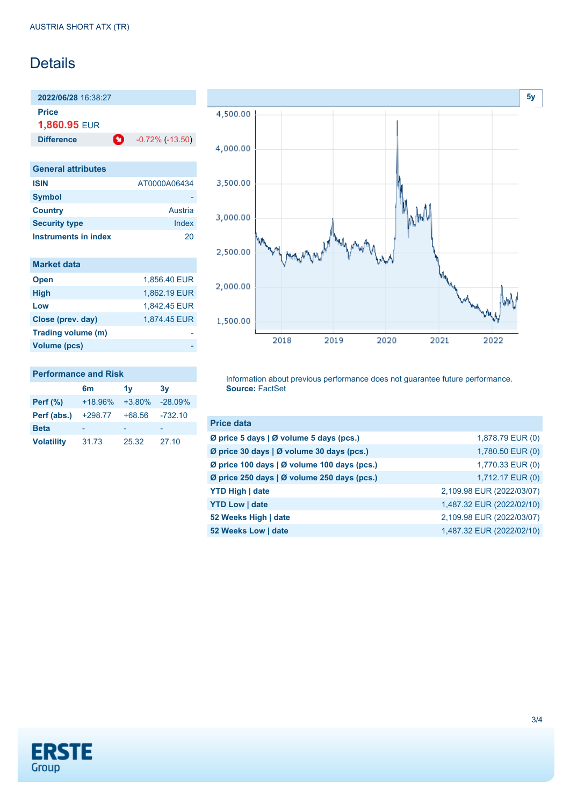## **Details**

**2022/06/28** 16:38:27 **Price**

**1,860.95** EUR

**Difference 0** -0.72% (-13.50)

| <b>General attributes</b> |              |
|---------------------------|--------------|
| <b>ISIN</b>               | AT0000A06434 |
| <b>Symbol</b>             |              |
| <b>Country</b>            | Austria      |
| <b>Security type</b>      | Index        |
| Instruments in index      | 20           |

| <b>Market data</b> |              |
|--------------------|--------------|
| <b>Open</b>        | 1,856.40 EUR |
| <b>High</b>        | 1,862.19 EUR |
| Low                | 1,842.45 EUR |
| Close (prev. day)  | 1,874.45 EUR |
| Trading volume (m) |              |
| Volume (pcs)       |              |



#### **Performance and Risk**

|                   | 6m        | 1v       | 3v        |
|-------------------|-----------|----------|-----------|
| <b>Perf</b> (%)   | $+18.96%$ | $+3.80%$ | $-28.09%$ |
| Perf (abs.)       | $+298.77$ | $+68.56$ | $-732.10$ |
| <b>Beta</b>       |           |          |           |
| <b>Volatility</b> | 31.73     | 25.32    | 27.10     |

Information about previous performance does not guarantee future performance. **Source:** FactSet

| <b>Price data</b>                           |                           |
|---------------------------------------------|---------------------------|
| Ø price 5 days   Ø volume 5 days (pcs.)     | 1,878.79 EUR (0)          |
| Ø price 30 days   Ø volume 30 days (pcs.)   | 1,780.50 EUR (0)          |
| Ø price 100 days   Ø volume 100 days (pcs.) | 1,770.33 EUR (0)          |
| Ø price 250 days   Ø volume 250 days (pcs.) | 1,712.17 EUR (0)          |
| <b>YTD High   date</b>                      | 2,109.98 EUR (2022/03/07) |
| <b>YTD Low   date</b>                       | 1,487.32 EUR (2022/02/10) |
| 52 Weeks High   date                        | 2,109.98 EUR (2022/03/07) |
| 52 Weeks Low   date                         | 1,487.32 EUR (2022/02/10) |